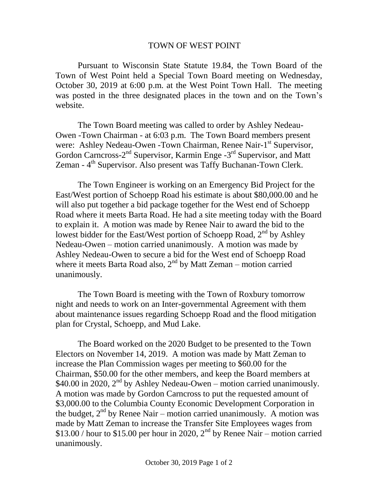## TOWN OF WEST POINT

Pursuant to Wisconsin State Statute 19.84, the Town Board of the Town of West Point held a Special Town Board meeting on Wednesday, October 30, 2019 at 6:00 p.m. at the West Point Town Hall. The meeting was posted in the three designated places in the town and on the Town's website.

The Town Board meeting was called to order by Ashley Nedeau-Owen -Town Chairman - at 6:03 p.m. The Town Board members present were: Ashley Nedeau-Owen -Town Chairman, Renee Nair-1<sup>st</sup> Supervisor, Gordon Carncross-2<sup>nd</sup> Supervisor, Karmin Enge -3<sup>rd</sup> Supervisor, and Matt Zeman - 4<sup>th</sup> Supervisor. Also present was Taffy Buchanan-Town Clerk.

The Town Engineer is working on an Emergency Bid Project for the East/West portion of Schoepp Road his estimate is about \$80,000.00 and he will also put together a bid package together for the West end of Schoepp Road where it meets Barta Road. He had a site meeting today with the Board to explain it. A motion was made by Renee Nair to award the bid to the lowest bidder for the East/West portion of Schoepp Road, 2<sup>nd</sup> by Ashley Nedeau-Owen – motion carried unanimously. A motion was made by Ashley Nedeau-Owen to secure a bid for the West end of Schoepp Road where it meets Barta Road also,  $2<sup>nd</sup>$  by Matt Zeman – motion carried unanimously.

The Town Board is meeting with the Town of Roxbury tomorrow night and needs to work on an Inter-governmental Agreement with them about maintenance issues regarding Schoepp Road and the flood mitigation plan for Crystal, Schoepp, and Mud Lake.

The Board worked on the 2020 Budget to be presented to the Town Electors on November 14, 2019. A motion was made by Matt Zeman to increase the Plan Commission wages per meeting to \$60.00 for the Chairman, \$50.00 for the other members, and keep the Board members at  $$40.00$  in 2020,  $2<sup>nd</sup>$  by Ashley Nedeau-Owen – motion carried unanimously. A motion was made by Gordon Carncross to put the requested amount of \$3,000.00 to the Columbia County Economic Development Corporation in the budget,  $2<sup>nd</sup>$  by Renee Nair – motion carried unanimously. A motion was made by Matt Zeman to increase the Transfer Site Employees wages from \$13.00 / hour to \$15.00 per hour in 2020,  $2<sup>nd</sup>$  by Renee Nair – motion carried unanimously.